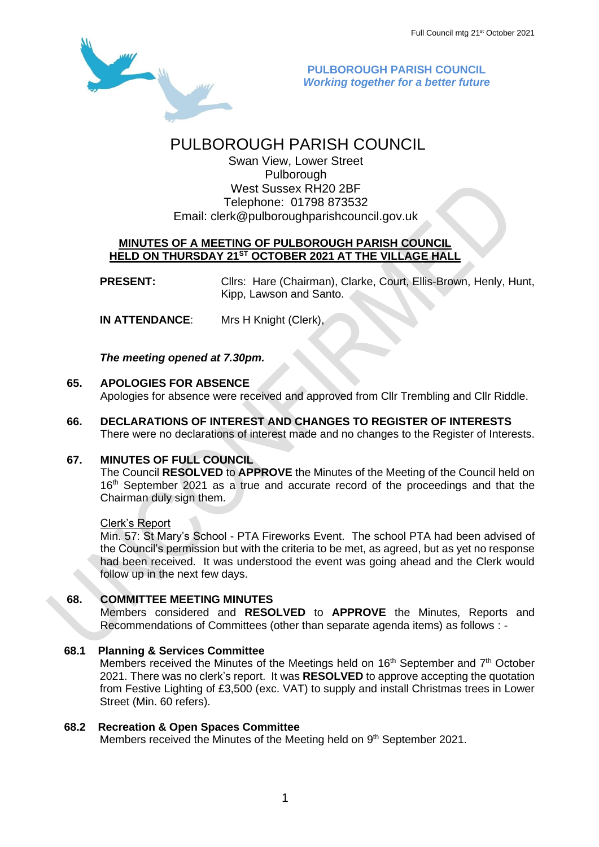

**PULBOROUGH PARISH COUNCIL** *Working together for a better future*

# PULBOROUGH PARISH COUNCIL

Swan View, Lower Street Pulborough West Sussex RH20 2BF Telephone: 01798 873532 Email: [clerk@pulboroughparishcouncil.gov.uk](mailto:clerk@pulboroughparishcouncil.gov.uk)

### **MINUTES OF A MEETING OF PULBOROUGH PARISH COUNCIL HELD ON THURSDAY 21ST OCTOBER 2021 AT THE VILLAGE HALL**

**PRESENT:** Clirs: Hare (Chairman), Clarke, Court, Ellis-Brown, Henly, Hunt, Kipp, Lawson and Santo.

**IN ATTENDANCE**: Mrs H Knight (Clerk),

*The meeting opened at 7.30pm.*

### **65. APOLOGIES FOR ABSENCE**

Apologies for absence were received and approved from Cllr Trembling and Cllr Riddle.

**66. DECLARATIONS OF INTEREST AND CHANGES TO REGISTER OF INTERESTS** There were no declarations of interest made and no changes to the Register of Interests.

# **67. MINUTES OF FULL COUNCIL**

The Council **RESOLVED** to **APPROVE** the Minutes of the Meeting of the Council held on 16<sup>th</sup> September 2021 as a true and accurate record of the proceedings and that the Chairman duly sign them.

#### Clerk's Report

Min. 57: St Mary's School - PTA Fireworks Event. The school PTA had been advised of the Council's permission but with the criteria to be met, as agreed, but as yet no response had been received. It was understood the event was going ahead and the Clerk would follow up in the next few days.

#### **68. COMMITTEE MEETING MINUTES**

Members considered and **RESOLVED** to **APPROVE** the Minutes, Reports and Recommendations of Committees (other than separate agenda items) as follows : -

#### **68.1 Planning & Services Committee**

Members received the Minutes of the Meetings held on  $16<sup>th</sup>$  September and  $7<sup>th</sup>$  October 2021. There was no clerk's report. It was **RESOLVED** to approve accepting the quotation from Festive Lighting of £3,500 (exc. VAT) to supply and install Christmas trees in Lower Street (Min. 60 refers).

#### **68.2 Recreation & Open Spaces Committee**

Members received the Minutes of the Meeting held on 9<sup>th</sup> September 2021.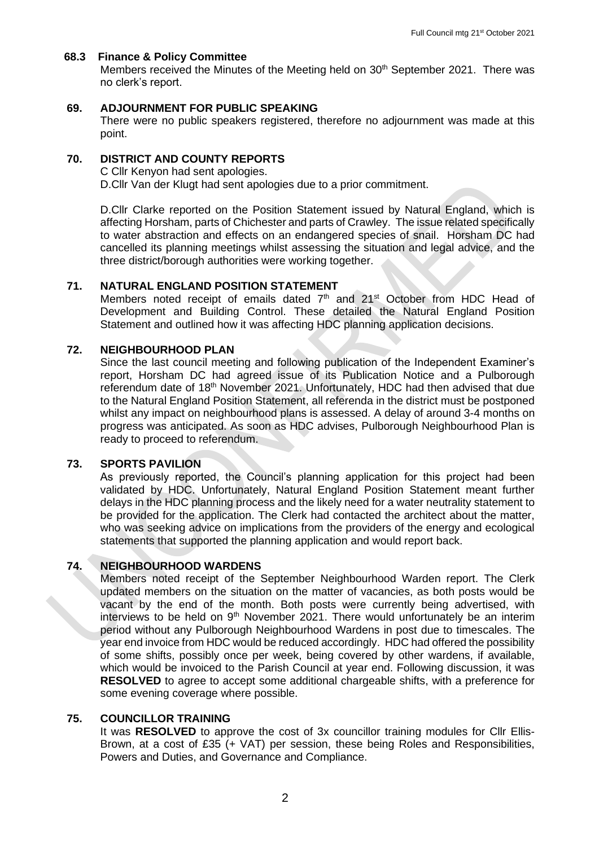#### **68.3 Finance & Policy Committee**

Members received the Minutes of the Meeting held on 30<sup>th</sup> September 2021. There was no clerk's report.

#### **69. ADJOURNMENT FOR PUBLIC SPEAKING**

There were no public speakers registered, therefore no adjournment was made at this point.

#### **70. DISTRICT AND COUNTY REPORTS**

C Cllr Kenyon had sent apologies. D.Cllr Van der Klugt had sent apologies due to a prior commitment.

D.Cllr Clarke reported on the Position Statement issued by Natural England, which is affecting Horsham, parts of Chichester and parts of Crawley. The issue related specifically to water abstraction and effects on an endangered species of snail. Horsham DC had cancelled its planning meetings whilst assessing the situation and legal advice, and the three district/borough authorities were working together.

#### **71. NATURAL ENGLAND POSITION STATEMENT**

Members noted receipt of emails dated  $7<sup>th</sup>$  and  $21<sup>st</sup>$  October from HDC Head of Development and Building Control. These detailed the Natural England Position Statement and outlined how it was affecting HDC planning application decisions.

#### **72. NEIGHBOURHOOD PLAN**

Since the last council meeting and following publication of the Independent Examiner's report, Horsham DC had agreed issue of its Publication Notice and a Pulborough referendum date of 18<sup>th</sup> November 2021. Unfortunately, HDC had then advised that due to the Natural England Position Statement, all referenda in the district must be postponed whilst any impact on neighbourhood plans is assessed. A delay of around 3-4 months on progress was anticipated. As soon as HDC advises, Pulborough Neighbourhood Plan is ready to proceed to referendum.

#### **73. SPORTS PAVILION**

As previously reported, the Council's planning application for this project had been validated by HDC. Unfortunately, Natural England Position Statement meant further delays in the HDC planning process and the likely need for a water neutrality statement to be provided for the application. The Clerk had contacted the architect about the matter, who was seeking advice on implications from the providers of the energy and ecological statements that supported the planning application and would report back.

### **74. NEIGHBOURHOOD WARDENS**

Members noted receipt of the September Neighbourhood Warden report. The Clerk updated members on the situation on the matter of vacancies, as both posts would be vacant by the end of the month. Both posts were currently being advertised, with interviews to be held on 9<sup>th</sup> November 2021. There would unfortunately be an interim period without any Pulborough Neighbourhood Wardens in post due to timescales. The year end invoice from HDC would be reduced accordingly. HDC had offered the possibility of some shifts, possibly once per week, being covered by other wardens, if available, which would be invoiced to the Parish Council at year end. Following discussion, it was **RESOLVED** to agree to accept some additional chargeable shifts, with a preference for some evening coverage where possible.

#### **75. COUNCILLOR TRAINING**

It was **RESOLVED** to approve the cost of 3x councillor training modules for Cllr Ellis-Brown, at a cost of £35 (+ VAT) per session, these being Roles and Responsibilities, Powers and Duties, and Governance and Compliance.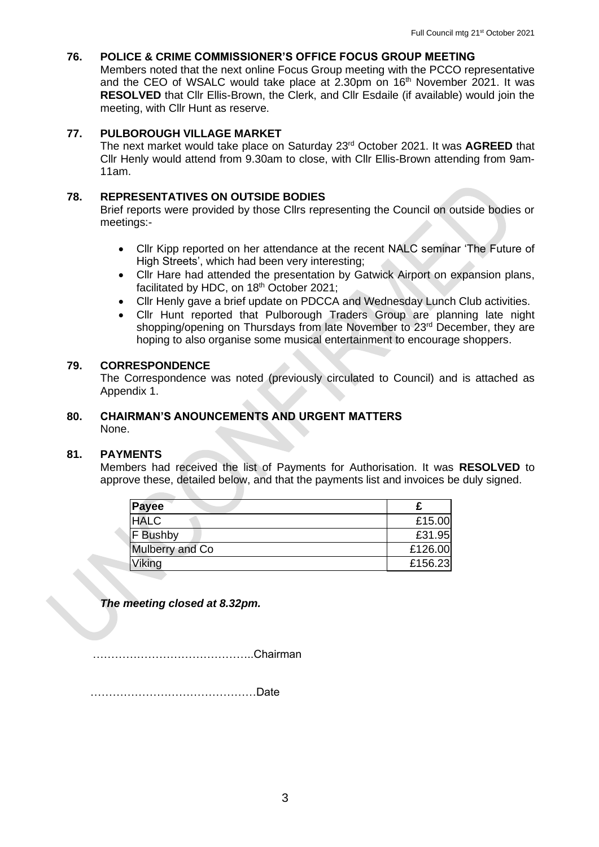## **76. POLICE & CRIME COMMISSIONER'S OFFICE FOCUS GROUP MEETING**

Members noted that the next online Focus Group meeting with the PCCO representative and the CEO of WSALC would take place at 2.30pm on 16<sup>th</sup> November 2021. It was **RESOLVED** that Cllr Ellis-Brown, the Clerk, and Cllr Esdaile (if available) would join the meeting, with Cllr Hunt as reserve.

### **77. PULBOROUGH VILLAGE MARKET**

The next market would take place on Saturday 23rd October 2021. It was **AGREED** that Cllr Henly would attend from 9.30am to close, with Cllr Ellis-Brown attending from 9am-11am.

### **78. REPRESENTATIVES ON OUTSIDE BODIES**

Brief reports were provided by those Cllrs representing the Council on outside bodies or meetings:-

- Cllr Kipp reported on her attendance at the recent NALC seminar 'The Future of High Streets', which had been very interesting;
- Cllr Hare had attended the presentation by Gatwick Airport on expansion plans, facilitated by HDC, on 18<sup>th</sup> October 2021;
- Cllr Henly gave a brief update on PDCCA and Wednesday Lunch Club activities.
- Cllr Hunt reported that Pulborough Traders Group are planning late night shopping/opening on Thursdays from late November to 23<sup>rd</sup> December, they are hoping to also organise some musical entertainment to encourage shoppers.

#### **79. CORRESPONDENCE**

The Correspondence was noted (previously circulated to Council) and is attached as Appendix 1.

#### **80. CHAIRMAN'S ANOUNCEMENTS AND URGENT MATTERS** None.

#### **81. PAYMENTS**

Members had received the list of Payments for Authorisation. It was **RESOLVED** to approve these, detailed below, and that the payments list and invoices be duly signed.

| Payee           |         |
|-----------------|---------|
| <b>HALC</b>     | £15.00  |
| F Bushby        | £31.95  |
| Mulberry and Co | £126.00 |
| Viking          | £156.23 |

*The meeting closed at 8.32pm.*

……………………………………..Chairman

………………………………………Date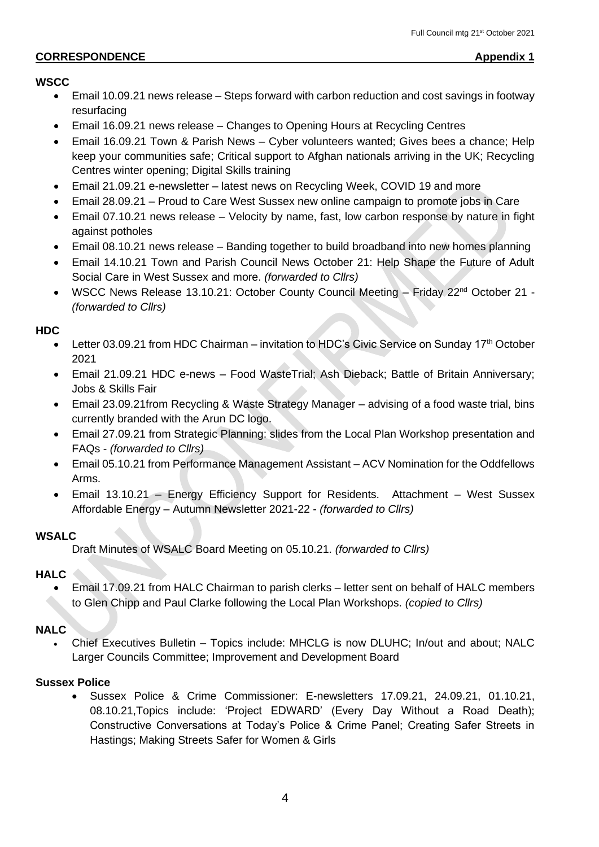# **CORRESPONDENCE Appendix 1**

# **WSCC**

- Email 10.09.21 news release Steps forward with carbon reduction and cost savings in footway resurfacing
- Email 16.09.21 news release Changes to Opening Hours at Recycling Centres
- Email 16.09.21 Town & Parish News Cyber volunteers wanted; Gives bees a chance; Help keep your communities safe; Critical support to Afghan nationals arriving in the UK; Recycling Centres winter opening; Digital Skills training
- Email 21.09.21 e-newsletter latest news on Recycling Week, COVID 19 and more
- Email 28.09.21 Proud to Care West Sussex new online campaign to promote jobs in Care
- Email 07.10.21 news release Velocity by name, fast, low carbon response by nature in fight against potholes
- Email 08.10.21 news release Banding together to build broadband into new homes planning
- Email 14.10.21 Town and Parish Council News October 21: Help Shape the Future of Adult Social Care in West Sussex and more. *(forwarded to Cllrs)*
- WSCC News Release 13.10.21: October County Council Meeting Friday 22<sup>nd</sup> October 21 -*(forwarded to Cllrs)*

# **HDC**

- Letter 03.09.21 from HDC Chairman invitation to HDC's Civic Service on Sunday 17<sup>th</sup> October 2021
- Email 21.09.21 HDC e-news Food WasteTrial; Ash Dieback; Battle of Britain Anniversary; Jobs & Skills Fair
- Email 23.09.21from Recycling & Waste Strategy Manager advising of a food waste trial, bins currently branded with the Arun DC logo.
- Email 27.09.21 from Strategic Planning: slides from the Local Plan Workshop presentation and FAQs - *(forwarded to Cllrs)*
- Email 05.10.21 from Performance Management Assistant ACV Nomination for the Oddfellows Arms.
- Email 13.10.21 Energy Efficiency Support for Residents. Attachment West Sussex Affordable Energy – Autumn Newsletter 2021-22 - *(forwarded to Cllrs)*

# **WSALC**

Draft Minutes of WSALC Board Meeting on 05.10.21. *(forwarded to Cllrs)*

# **HALC**

• Email 17.09.21 from HALC Chairman to parish clerks – letter sent on behalf of HALC members to Glen Chipp and Paul Clarke following the Local Plan Workshops. *(copied to Cllrs)*

# **NALC**

• Chief Executives Bulletin – Topics include: MHCLG is now DLUHC; In/out and about; NALC Larger Councils Committee; Improvement and Development Board

# **Sussex Police**

• Sussex Police & Crime Commissioner: E-newsletters 17.09.21, 24.09.21, 01.10.21, 08.10.21,Topics include: 'Project EDWARD' (Every Day Without a Road Death); Constructive Conversations at Today's Police & Crime Panel; Creating Safer Streets in Hastings; Making Streets Safer for Women & Girls